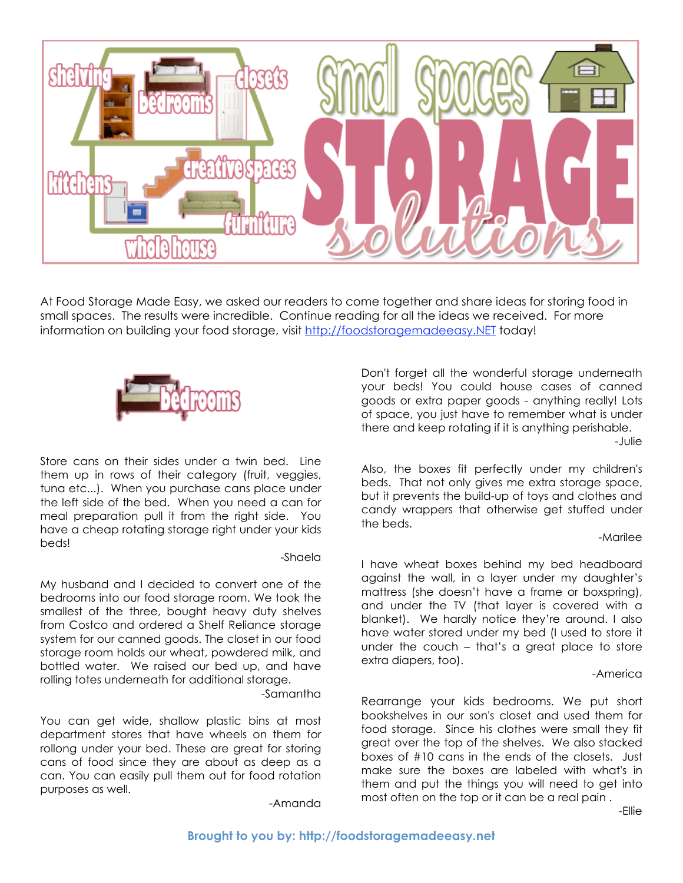

At Food Storage Made Easy, we asked our readers to come together and share ideas for storing food in small spaces. The results were incredible. Continue reading for all the ideas we received. For more information on building your food storage, visit http://foodstoragemadeeasy.NET today!



Store cans on their sides under a twin bed. Line them up in rows of their category (fruit, veggies, tuna etc...). When you purchase cans place under the left side of the bed. When you need a can for meal preparation pull it from the right side. You have a cheap rotating storage right under your kids beds!

# -Shaela

My husband and I decided to convert one of the bedrooms into our food storage room. We took the smallest of the three, bought heavy duty shelves from Costco and ordered a Shelf Reliance storage system for our canned goods. The closet in our food storage room holds our wheat, powdered milk, and bottled water. We raised our bed up, and have rolling totes underneath for additional storage.

-Samantha

You can get wide, shallow plastic bins at most department stores that have wheels on them for rollong under your bed. These are great for storing cans of food since they are about as deep as a can. You can easily pull them out for food rotation purposes as well.

-Amanda

Don't forget all the wonderful storage underneath your beds! You could house cases of canned goods or extra paper goods - anything really! Lots of space, you just have to remember what is under there and keep rotating if it is anything perishable. -Julie

Also, the boxes fit perfectly under my children's beds. That not only gives me extra storage space, but it prevents the build-up of toys and clothes and candy wrappers that otherwise get stuffed under the beds.

# -Marilee

I have wheat boxes behind my bed headboard against the wall, in a layer under my daughter's mattress (she doesn't have a frame or boxspring), and under the TV (that layer is covered with a blanket). We hardly notice they're around. I also have water stored under my bed (I used to store it under the couch – that's a great place to store extra diapers, too).

# -America

Rearrange your kids bedrooms. We put short bookshelves in our son's closet and used them for food storage. Since his clothes were small they fit great over the top of the shelves. We also stacked boxes of #10 cans in the ends of the closets. Just make sure the boxes are labeled with what's in them and put the things you will need to get into most often on the top or it can be a real pain .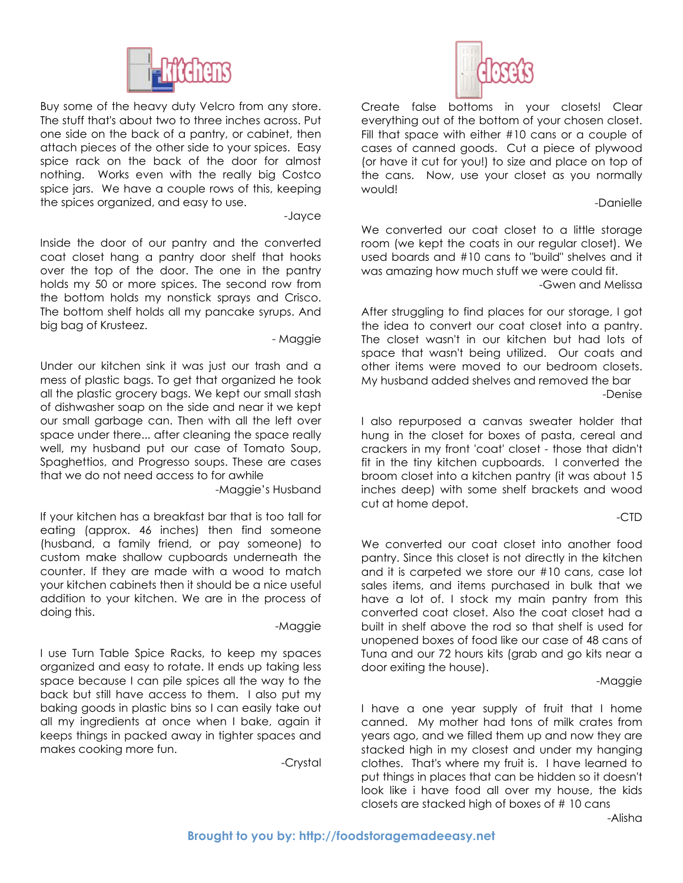

Buy some of the heavy duty Velcro from any store. The stuff that's about two to three inches across. Put one side on the back of a pantry, or cabinet, then attach pieces of the other side to your spices. Easy spice rack on the back of the door for almost nothing. Works even with the really big Costco spice jars. We have a couple rows of this, keeping the spices organized, and easy to use.

-Jayce

Inside the door of our pantry and the converted coat closet hang a pantry door shelf that hooks over the top of the door. The one in the pantry holds my 50 or more spices. The second row from the bottom holds my nonstick sprays and Crisco. The bottom shelf holds all my pancake syrups. And big bag of Krusteez.

- Maggie

Under our kitchen sink it was just our trash and a mess of plastic bags. To get that organized he took all the plastic grocery bags. We kept our small stash of dishwasher soap on the side and near it we kept our small garbage can. Then with all the left over space under there... after cleaning the space really well, my husband put our case of Tomato Soup, Spaghettios, and Progresso soups. These are cases that we do not need access to for awhile

-Maggie's Husband

If your kitchen has a breakfast bar that is too tall for eating (approx. 46 inches) then find someone (husband, a family friend, or pay someone) to custom make shallow cupboards underneath the counter. If they are made with a wood to match your kitchen cabinets then it should be a nice useful addition to your kitchen. We are in the process of doing this.

# -Maggie

I use Turn Table Spice Racks, to keep my spaces organized and easy to rotate. It ends up taking less space because I can pile spices all the way to the back but still have access to them. I also put my baking goods in plastic bins so I can easily take out all my ingredients at once when I bake, again it keeps things in packed away in tighter spaces and makes cooking more fun.

-Crystal



Create false bottoms in your closets! Clear everything out of the bottom of your chosen closet. Fill that space with either #10 cans or a couple of cases of canned goods. Cut a piece of plywood (or have it cut for you!) to size and place on top of the cans. Now, use your closet as you normally would!

-Danielle

We converted our coat closet to a little storage room (we kept the coats in our regular closet). We used boards and #10 cans to "build" shelves and it was amazing how much stuff we were could fit.

-Gwen and Melissa

After struggling to find places for our storage, I got the idea to convert our coat closet into a pantry. The closet wasn't in our kitchen but had lots of space that wasn't being utilized. Our coats and other items were moved to our bedroom closets. My husband added shelves and removed the bar -Denise

I also repurposed a canvas sweater holder that hung in the closet for boxes of pasta, cereal and crackers in my front 'coat' closet - those that didn't fit in the tiny kitchen cupboards. I converted the broom closet into a kitchen pantry (it was about 15 inches deep) with some shelf brackets and wood cut at home depot.

# -CTD

We converted our coat closet into another food pantry. Since this closet is not directly in the kitchen and it is carpeted we store our #10 cans, case lot sales items, and items purchased in bulk that we have a lot of. I stock my main pantry from this converted coat closet. Also the coat closet had a built in shelf above the rod so that shelf is used for unopened boxes of food like our case of 48 cans of Tuna and our 72 hours kits (grab and go kits near a door exiting the house).

-Maggie

I have a one year supply of fruit that I home canned. My mother had tons of milk crates from years ago, and we filled them up and now they are stacked high in my closest and under my hanging clothes. That's where my fruit is. I have learned to put things in places that can be hidden so it doesn't look like i have food all over my house, the kids closets are stacked high of boxes of # 10 cans

-Alisha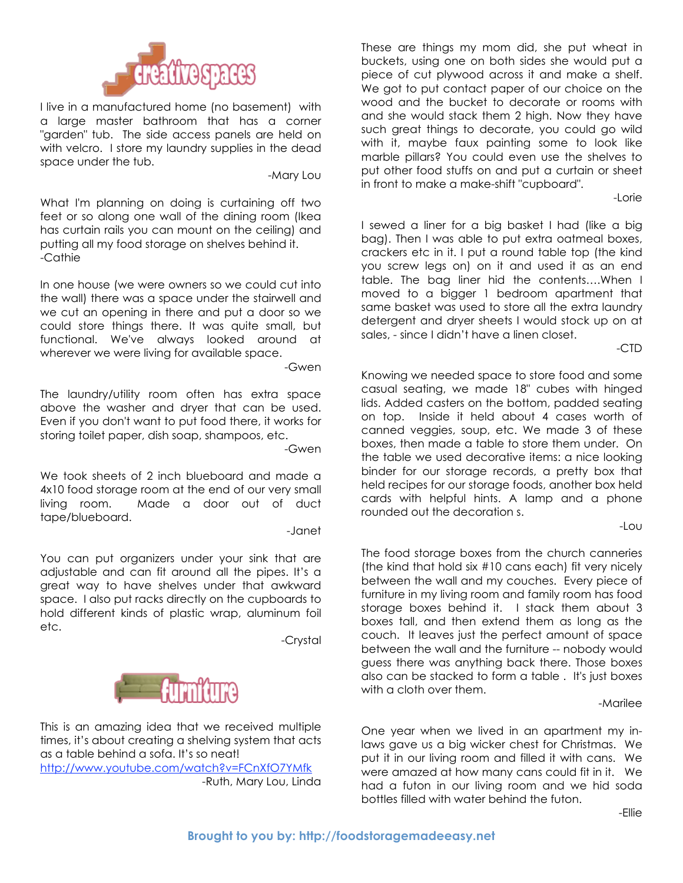

I live in a manufactured home (no basement) with a large master bathroom that has a corner "garden" tub. The side access panels are held on with velcro. I store my laundry supplies in the dead space under the tub.

-Mary Lou

What I'm planning on doing is curtaining off two feet or so along one wall of the dining room (Ikea has curtain rails you can mount on the ceiling) and putting all my food storage on shelves behind it. -Cathie

In one house (we were owners so we could cut into the wall) there was a space under the stairwell and we cut an opening in there and put a door so we could store things there. It was quite small, but functional. We've always looked around at wherever we were living for available space.

-Gwen

The laundry/utility room often has extra space above the washer and dryer that can be used. Even if you don't want to put food there, it works for storing toilet paper, dish soap, shampoos, etc.

-Gwen

We took sheets of 2 inch blueboard and made a 4x10 food storage room at the end of our very small living room. Made a door out of duct tape/blueboard.

-Janet

You can put organizers under your sink that are adjustable and can fit around all the pipes. It's a great way to have shelves under that awkward space. I also put racks directly on the cupboards to hold different kinds of plastic wrap, aluminum foil etc.

-Crystal



This is an amazing idea that we received multiple times, it's about creating a shelving system that acts as a table behind a sofa. It's so neat! http://www.youtube.com/watch?v=FCnXfO7YMfk -Ruth, Mary Lou, Linda

These are things my mom did, she put wheat in buckets, using one on both sides she would put a piece of cut plywood across it and make a shelf. We got to put contact paper of our choice on the wood and the bucket to decorate or rooms with and she would stack them 2 high. Now they have such great things to decorate, you could go wild with it, maybe faux painting some to look like marble pillars? You could even use the shelves to put other food stuffs on and put a curtain or sheet in front to make a make-shift "cupboard".

-Lorie

I sewed a liner for a big basket I had (like a big bag). Then I was able to put extra oatmeal boxes, crackers etc in it. I put a round table top (the kind you screw legs on) on it and used it as an end table. The bag liner hid the contents….When I moved to a bigger 1 bedroom apartment that same basket was used to store all the extra laundry detergent and dryer sheets I would stock up on at sales, - since I didn't have a linen closet.

-CTD

Knowing we needed space to store food and some casual seating, we made 18" cubes with hinged lids. Added casters on the bottom, padded seating on top. Inside it held about 4 cases worth of canned veggies, soup, etc. We made 3 of these boxes, then made a table to store them under. On the table we used decorative items: a nice looking binder for our storage records, a pretty box that held recipes for our storage foods, another box held cards with helpful hints. A lamp and a phone rounded out the decoration s.

-Lou

The food storage boxes from the church canneries (the kind that hold six #10 cans each) fit very nicely between the wall and my couches. Every piece of furniture in my living room and family room has food storage boxes behind it. I stack them about 3 boxes tall, and then extend them as long as the couch. It leaves just the perfect amount of space between the wall and the furniture -- nobody would guess there was anything back there. Those boxes also can be stacked to form a table . It's just boxes with a cloth over them.

-Marilee

One year when we lived in an apartment my inlaws gave us a big wicker chest for Christmas. We put it in our living room and filled it with cans. We were amazed at how many cans could fit in it. We had a futon in our living room and we hid soda bottles filled with water behind the futon.